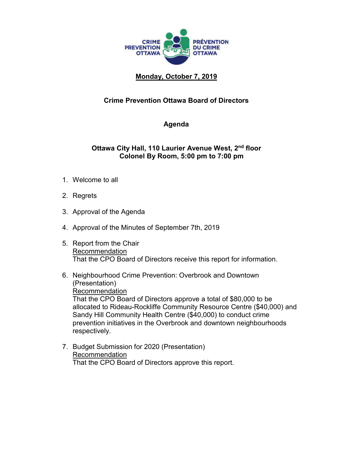

## **Monday, October 7, 2019**

## **Crime Prevention Ottawa Board of Directors**

## **Agenda**

## **Ottawa City Hall, 110 Laurier Avenue West, 2nd floor Colonel By Room, 5:00 pm to 7:00 pm**

- 1. Welcome to all
- 2. Regrets
- 3. Approval of the Agenda
- 4. Approval of the Minutes of September 7th, 2019
- 5. Report from the Chair Recommendation That the CPO Board of Directors receive this report for information.
- 6. Neighbourhood Crime Prevention: Overbrook and Downtown (Presentation) Recommendation That the CPO Board of Directors approve a total of \$80,000 to be allocated to Rideau-Rockliffe Community Resource Centre (\$40,000) and Sandy Hill Community Health Centre (\$40,000) to conduct crime prevention initiatives in the Overbrook and downtown neighbourhoods respectively.
- 7. Budget Submission for 2020 (Presentation) Recommendation That the CPO Board of Directors approve this report.